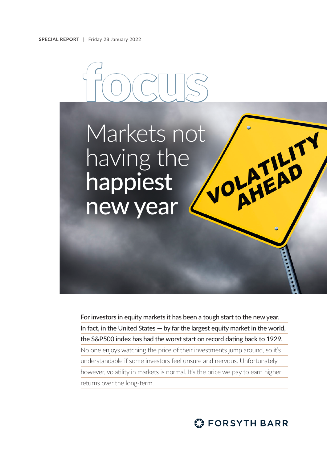

For investors in equity markets it has been a tough start to the new year. In fact, in the United States — by far the largest equity market in the world, the S&P500 index has had the worst start on record dating back to 1929. No one enjoys watching the price of their investments jump around, so it's understandable if some investors feel unsure and nervous. Unfortunately, however, volatility in markets is normal. It's the price we pay to earn higher returns over the long-term.

**C: FORSYTH BARR**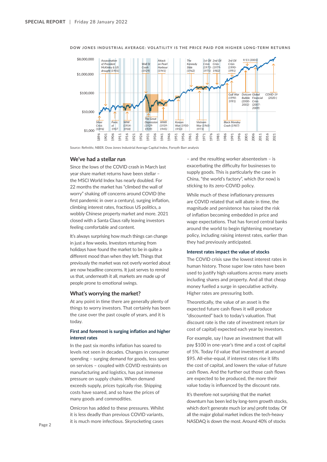

**DOW JONES INDUSTRIAL AVERAGE: VOLATILITY IS THE PRICE PAID FOR HIGHER LONG-TERM RETURNS**

Source: Refinitiv, NBER. Dow Jones Industrial Average Capital Index, Forsyth Barr analysis

## **We've had a stellar run**

Since the lows of the COVID crash in March last year share market returns have been stellar – the MSCI World Index has nearly doubled. For 22 months the market has "climbed the wall of worry" shaking off concerns around COVID (the first pandemic in over a century), surging inflation, climbing interest rates, fractious US politics, a wobbly Chinese property market and more. 2021 closed with a Santa Claus rally leaving investors feeling comfortable and content.

It's always surprising how much things can change in just a few weeks. Investors returning from holidays have found the market to be in quite a different mood than when they left. Things that previously the market was not overly worried about are now headline concerns. It just serves to remind us that, underneath it all, markets are made up of people prone to emotional swings.

#### **What's worrying the market?**

At any point in time there are generally plenty of things to worry investors. That certainly has been the case over the past couple of years, and it is today.

# **First and foremost is surging inflation and higher interest rates**

In the past six months inflation has soared to levels not seen in decades. Changes in consumer spending – surging demand for goods, less spent on services – coupled with COVID restraints on manufacturing and logistics, has put immense pressure on supply chains. When demand exceeds supply, prices typically rise. Shipping costs have soared, and so have the prices of many goods and commodities.

Omicron has added to these pressures. Whilst it is less deadly than previous COVID variants, it is much more infectious. Skyrocketing cases

– and the resulting worker absenteeism – is exacerbating the difficulty for businesses to supply goods. This is particularly the case in China, "the world's factory", which (for now) is sticking to its zero-COVID policy.

While much of these inflationary pressures are COVID related that will abate in time, the magnitude and persistence has raised the risk of inflation becoming embedded in price and wage expectations. That has forced central banks around the world to begin tightening monetary policy, including raising interest rates, earlier than they had previously anticipated.

#### **Interest rates impact the value of stocks**

The COVID crisis saw the lowest interest rates in human history. Those super low rates have been used to justify high valuations across many assets including shares and property. And all that cheap money fuelled a surge in speculative activity. Higher rates are pressuring both.

Theoretically, the value of an asset is the expected future cash flows it will produce "discounted" back to today's valuation. That discount rate is the rate of investment return (or cost of capital) expected each year by investors.

For example, say I have an investment that will pay \$100 in one-year's time and a cost of capital of 5%. Today I'd value that investment at around \$95. All-else-equal, if interest rates rise it lifts the cost of capital, and lowers the value of future cash flows. And the further out those cash flows are expected to be produced, the more their value today is influenced by the discount rate.

It's therefore not surprising that the market downturn has been led by long-term growth stocks, which don't generate much (or any) profit today. Of all the major global market indices the tech-heavy NASDAQ is down the most. Around 40% of stocks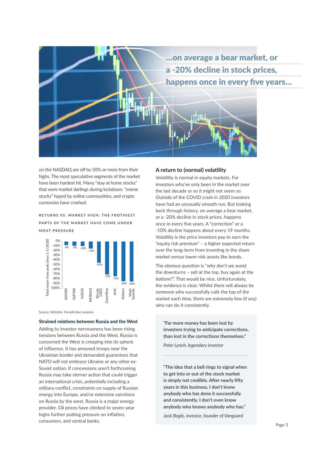

on the NASDAQ are off by 50% or more from their highs. The most speculative segments of the market have been hardest hit. Many "stay at home stocks" that were market darlings during lockdown, "meme stocks" hyped by online communities, and crypto currencies have crashed.

**RETURNS VS. MARKET HIGH: THE FROTHIEST PARTS OF THE MARKET HAVE COME UNDER MOST PRESSURE**



Source: Refinitiv, Forsyth Barr analysis

#### **Strained relations between Russia and the West**

Adding to investor nervousness has been rising tensions between Russia and the West. Russia is concerned the West is creeping into its sphere of influence. It has amassed troops near the Ukrainian border and demanded guarantees that NATO will not embrace Ukraine or any other ex-Soviet nation. If concessions aren't forthcoming Russia may take sterner action that could trigger an international crisis, potentially including a military conflict, constraints on supply of Russian energy into Europe, and/or extensive sanctions on Russia by the west. Russia is a major energy provider. Oil prices have climbed to seven-year highs further putting pressure on inflation, consumers, and central banks.

## **A return to (normal) volatility**

Volatility is normal in equity markets. For investors who've only been in the market over the last decade or so it might not seem so. Outside of the COVID crash in 2020 investors have had an unusually smooth run. But looking back through history, on average a bear market, or a -20% decline in stock prices, happens once in every five years. A "correction" or a -10% decline happens about every 19 months. Volatility is the price investors pay to earn the "equity risk premium" – a higher expected return over the long-term from investing in the share market versus lower-risk assets like bonds.

The obvious question is "why don't we avoid the downturns – sell at the top, buy again at the bottom?". That would be nice. Unfortunately, the evidence is clear. Whilst there will always be someone who successfully calls the top of the market each time, there are extremely few (if any) who can do it consistently.

**"Far more money has been lost by investors trying to anticipate corrections, than lost in the corrections themselves."**

*Peter Lynch, legendary investor*

**"The idea that a bell rings to signal when to get into or out of the stock market is simply not credible. After nearly fifty years in this business, I don't know anybody who has done it successfully and consistently. I don't even know anybody who knows anybody who has."**

*Jack Bogle, investor, founder of Vanguard*